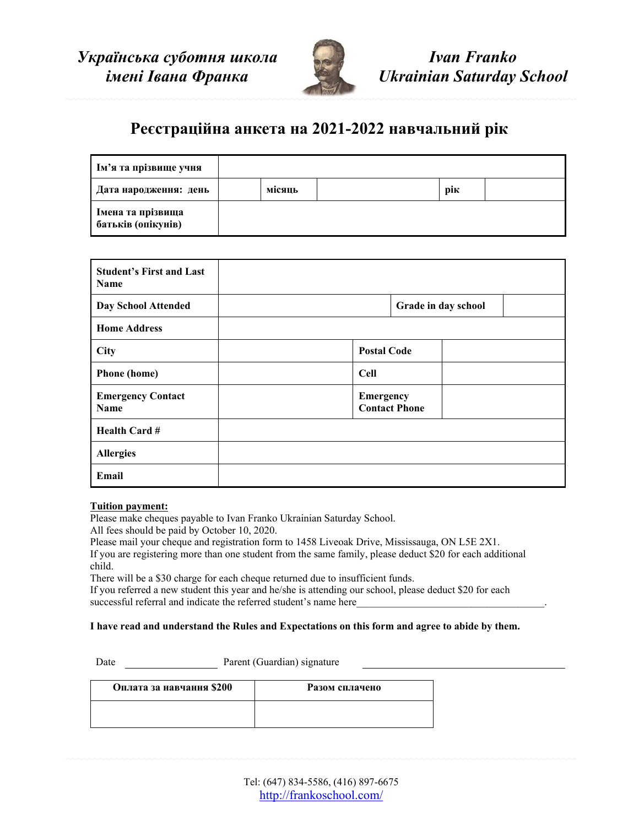

*Ivan Franko Ukrainian Saturday School*

# **Реєстраційна анкета на 2021-2022 навчальний рік**

| Им'я та прізвище учня                   |        |     |  |
|-----------------------------------------|--------|-----|--|
| Дата народження: день                   | місяць | рік |  |
| Імена та прізвища<br>батьків (опікунів) |        |     |  |

| <b>Student's First and Last</b><br><b>Name</b> |                                   |  |
|------------------------------------------------|-----------------------------------|--|
| <b>Day School Attended</b>                     | Grade in day school               |  |
| <b>Home Address</b>                            |                                   |  |
| <b>City</b>                                    | <b>Postal Code</b>                |  |
| <b>Phone</b> (home)                            | <b>Cell</b>                       |  |
| <b>Emergency Contact</b><br>Name               | Emergency<br><b>Contact Phone</b> |  |
| <b>Health Card#</b>                            |                                   |  |
| <b>Allergies</b>                               |                                   |  |
| Email                                          |                                   |  |

#### **Tuition payment:**

Please make cheques payable to Ivan Franko Ukrainian Saturday School.

All fees should be paid by October 10, 2020.

Please mail your cheque and registration form to 1458 Liveoak Drive, Mississauga, ON L5E 2X1. If you are registering more than one student from the same family, please deduct \$20 for each additional child.

There will be a \$30 charge for each cheque returned due to insufficient funds.

If you referred a new student this year and he/she is attending our school, please deduct \$20 for each successful referral and indicate the referred student's name here

#### **I have read and understand the Rules and Expectations on this form and agree to abide by them.**

Date Parent (Guardian) signature

| Оплата за навчання \$200 | Разом сплачено |
|--------------------------|----------------|
|                          |                |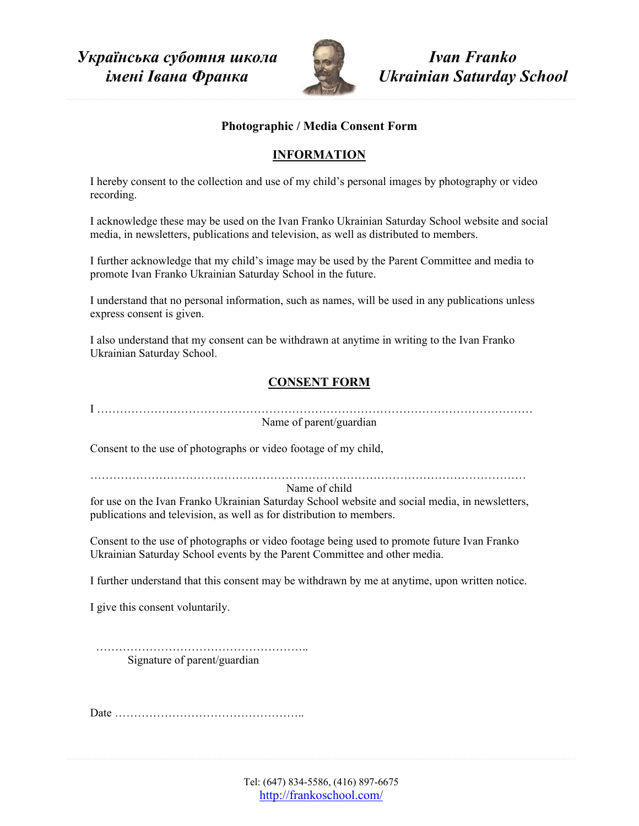

*Ivan Franko Ukrainian Saturday School*

#### **Photographic / Media Consent Form**

### **INFORMATION**

I hereby consent to the collection and use of my child's personal images by photography or video recording.

I acknowledge these may be used on the Ivan Franko Ukrainian Saturday School website and social media, in newsletters, publications and television, as well as distributed to members.

I further acknowledge that my child's image may be used by the Parent Committee and media to promote Ivan Franko Ukrainian Saturday School in the future.

I understand that no personal information, such as names, will be used in any publications unless express consent is given.

I also understand that my consent can be withdrawn at anytime in writing to the Ivan Franko Ukrainian Saturday School.

## **CONSENT FORM**

I ……………………………………………………………………………………………………

Name of parent/guardian

Consent to the use of photographs or video footage of my child,

……………………………………………………………………………………………………

Name of child

for use on the Ivan Franko Ukrainian Saturday School website and social media, in newsletters, publications and television, as well as for distribution to members.

Consent to the use of photographs or video footage being used to promote future Ivan Franko Ukrainian Saturday School events by the Parent Committee and other media.

I further understand that this consent may be withdrawn by me at anytime, upon written notice.

I give this consent voluntarily.

………………………………………………………… Signature of parent/guardian

Date …………………………………………..